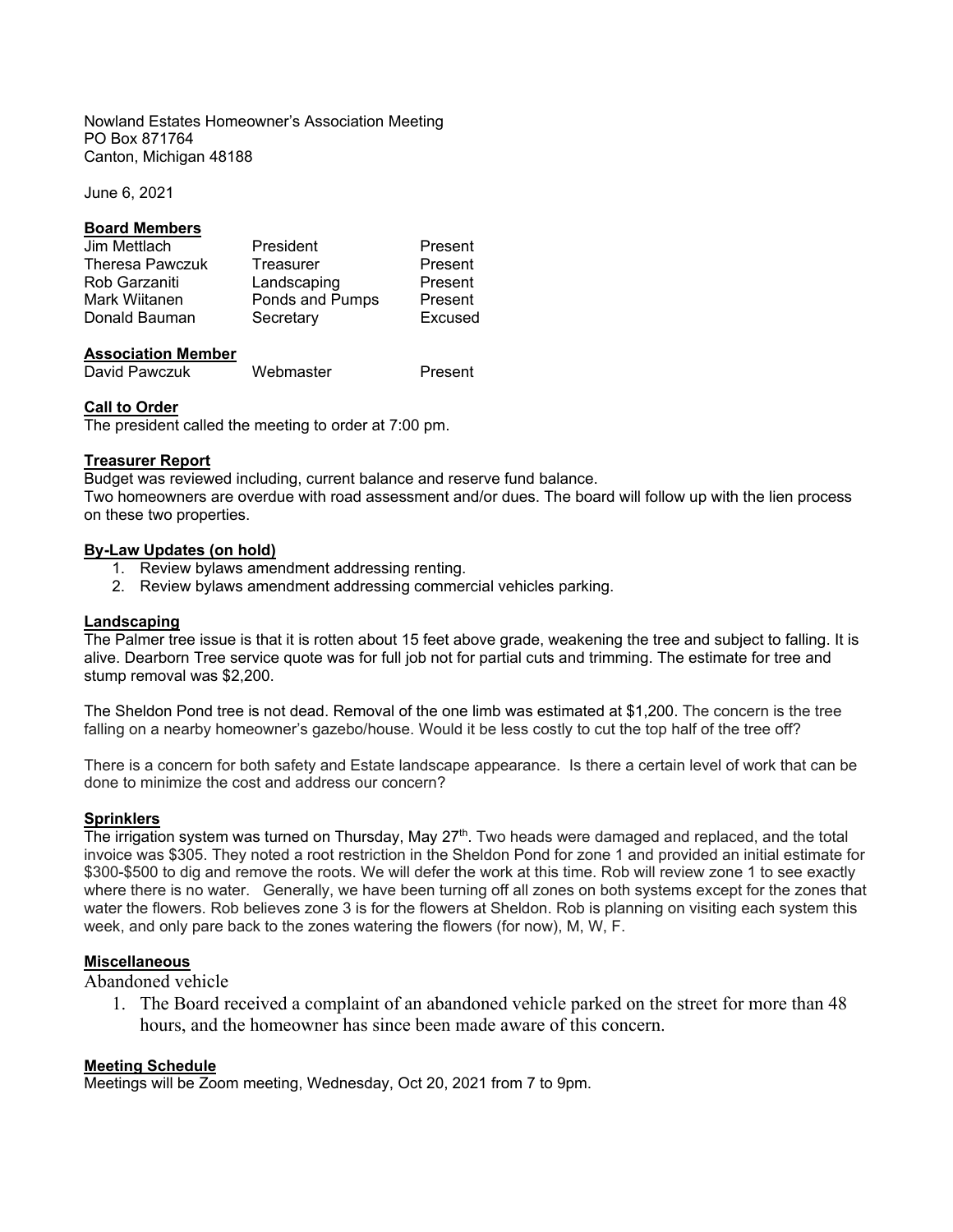Nowland Estates Homeowner's Association Meeting PO Box 871764 Canton, Michigan 48188

June 6, 2021

### **Board Members**

| Jim Mettlach           | President       | Present |
|------------------------|-----------------|---------|
| <b>Theresa Pawczuk</b> | Treasurer       | Present |
| Rob Garzaniti          | Landscaping     | Present |
| Mark Wiitanen          | Ponds and Pumps | Present |
| Donald Bauman          | Secretary       | Excused |

## **Association Member**

David Pawczuk Webmaster Present

### **Call to Order**

The president called the meeting to order at 7:00 pm.

### **Treasurer Report**

Budget was reviewed including, current balance and reserve fund balance.

Two homeowners are overdue with road assessment and/or dues. The board will follow up with the lien process on these two properties.

### **By-Law Updates (on hold)**

- 1. Review bylaws amendment addressing renting.
- 2. Review bylaws amendment addressing commercial vehicles parking.

### **Landscaping**

The Palmer tree issue is that it is rotten about 15 feet above grade, weakening the tree and subject to falling. It is alive. Dearborn Tree service quote was for full job not for partial cuts and trimming. The estimate for tree and stump removal was \$2,200.

The Sheldon Pond tree is not dead. Removal of the one limb was estimated at \$1,200. The concern is the tree falling on a nearby homeowner's gazebo/house. Would it be less costly to cut the top half of the tree off?

There is a concern for both safety and Estate landscape appearance. Is there a certain level of work that can be done to minimize the cost and address our concern?

## **Sprinklers**

The irrigation system was turned on Thursday, May  $27<sup>th</sup>$ . Two heads were damaged and replaced, and the total invoice was \$305. They noted a root restriction in the Sheldon Pond for zone 1 and provided an initial estimate for \$300-\$500 to dig and remove the roots. We will defer the work at this time. Rob will review zone 1 to see exactly where there is no water. Generally, we have been turning off all zones on both systems except for the zones that water the flowers. Rob believes zone 3 is for the flowers at Sheldon. Rob is planning on visiting each system this week, and only pare back to the zones watering the flowers (for now), M, W, F.

## **Miscellaneous**

Abandoned vehicle

1. The Board received a complaint of an abandoned vehicle parked on the street for more than 48 hours, and the homeowner has since been made aware of this concern.

## **Meeting Schedule**

Meetings will be Zoom meeting, Wednesday, Oct 20, 2021 from 7 to 9pm.